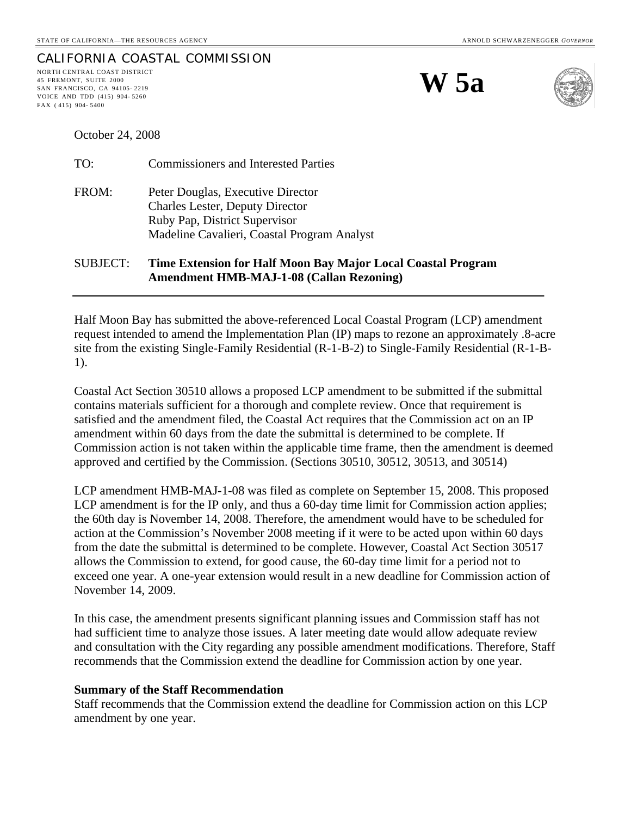## CALIFORNIA COASTAL COMMISSION NORTH CENTRAL COAST DISTRICT

45 FREMONT, SUITE 2000 SAN FRANCISCO, CA 94105- 2219 VOICE AND TDD (415) 904- 5260 FAX ( 415) 904- 5400

| <b>W</b> | $\mathbf{a}$ |
|----------|--------------|
|          |              |



| October 24, 2008 |  |
|------------------|--|
|                  |  |

| <b>SUBJECT:</b> | Time Extension for Half Moon Bay Major Local Coastal Program<br><b>Amendment HMB-MAJ-1-08 (Callan Rezoning)</b>                                             |
|-----------------|-------------------------------------------------------------------------------------------------------------------------------------------------------------|
| FROM:           | Peter Douglas, Executive Director<br><b>Charles Lester, Deputy Director</b><br>Ruby Pap, District Supervisor<br>Madeline Cavalieri, Coastal Program Analyst |
| TO:             | <b>Commissioners and Interested Parties</b>                                                                                                                 |

Half Moon Bay has submitted the above-referenced Local Coastal Program (LCP) amendment request intended to amend the Implementation Plan (IP) maps to rezone an approximately .8-acre site from the existing Single-Family Residential (R-1-B-2) to Single-Family Residential (R-1-B-1).

Coastal Act Section 30510 allows a proposed LCP amendment to be submitted if the submittal contains materials sufficient for a thorough and complete review. Once that requirement is satisfied and the amendment filed, the Coastal Act requires that the Commission act on an IP amendment within 60 days from the date the submittal is determined to be complete. If Commission action is not taken within the applicable time frame, then the amendment is deemed approved and certified by the Commission. (Sections 30510, 30512, 30513, and 30514)

LCP amendment HMB-MAJ-1-08 was filed as complete on September 15, 2008. This proposed LCP amendment is for the IP only, and thus a 60-day time limit for Commission action applies; the 60th day is November 14, 2008. Therefore, the amendment would have to be scheduled for action at the Commission's November 2008 meeting if it were to be acted upon within 60 days from the date the submittal is determined to be complete. However, Coastal Act Section 30517 allows the Commission to extend, for good cause, the 60-day time limit for a period not to exceed one year. A one-year extension would result in a new deadline for Commission action of November 14, 2009.

In this case, the amendment presents significant planning issues and Commission staff has not had sufficient time to analyze those issues. A later meeting date would allow adequate review and consultation with the City regarding any possible amendment modifications. Therefore, Staff recommends that the Commission extend the deadline for Commission action by one year.

## **Summary of the Staff Recommendation**

Staff recommends that the Commission extend the deadline for Commission action on this LCP amendment by one year.